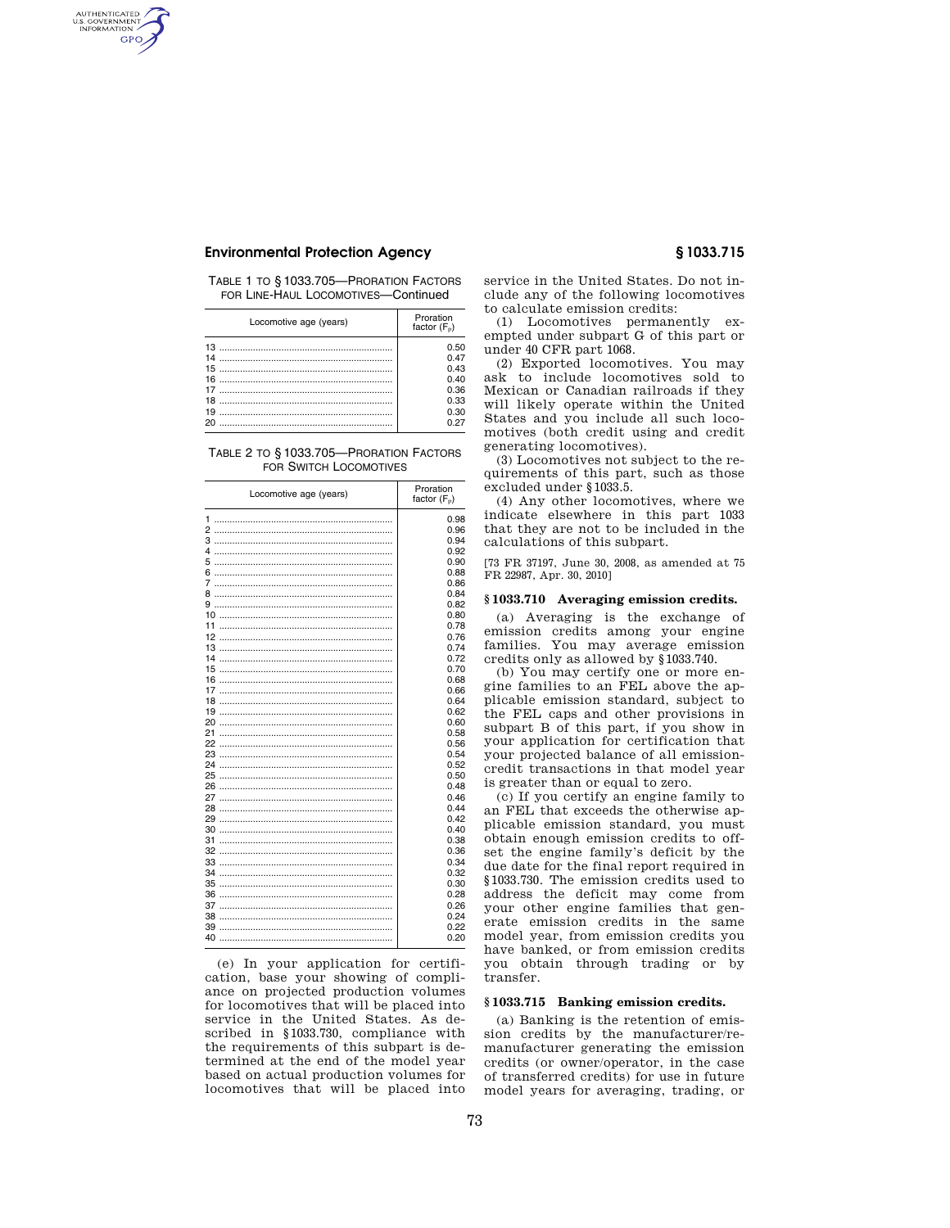# AUTHENTICATED<br>U.S. GOVERNMENT<br>INFORMATION **GPO**

# **Environmental Protection Agency § 1033.715**

TABLE 1 TO § 1033.705—PRORATION FACTORS FOR LINE-HAUL LOCOMOTIVES—Continued

| Locomotive age (years) | Proration<br>factor $(F_n)$                                  |
|------------------------|--------------------------------------------------------------|
| 18<br>19<br>20         | 0.50<br>0.47<br>0.43<br>0.40<br>0.36<br>0.33<br>0.30<br>ሰ 27 |

TABLE 2 TO § 1033.705—PRORATION FACTORS FOR SWITCH LOCOMOTIVES

| Locomotive age (years) | Proration<br>factor $(F_p)$ |
|------------------------|-----------------------------|
|                        | 0.98                        |
|                        | 0.96                        |
| 3                      | 0.94                        |
| 4                      | 0.92                        |
| 5                      | 0.90                        |
| 6                      | 0.88                        |
| 7                      | 0.86                        |
| 8                      | 0.84                        |
| 9                      | 0.82                        |
|                        | 0.80                        |
|                        | 0.78                        |
| 12                     | 0.76                        |
|                        | 0.74                        |
| 14                     | 0.72                        |
|                        | 0.70                        |
| 16                     | 0.68                        |
|                        | 0.66                        |
| 18                     | 0.64                        |
|                        | 0.62                        |
| 20                     | 0.60                        |
| 21                     | 0.58                        |
| 22                     | 0.56                        |
| 23                     | 0.54                        |
| 24                     | 0.52                        |
| 25                     | 0.50                        |
| 26                     | 0.48                        |
| 27                     | 0.46                        |
| 28                     | 0.44                        |
| 29                     | 0.42                        |
| 30                     | 0.40                        |
| 31                     | 0.38                        |
| 32                     | 0.36                        |
| 33                     | 0.34                        |
| 34                     | 0.32                        |
| 35                     | 0.30                        |
| 36                     | 0.28                        |
|                        |                             |
|                        | 0.26                        |
| 38                     | 0.24                        |
| 39                     | 0.22                        |
| 40                     | 0.20                        |

(e) In your application for certification, base your showing of compliance on projected production volumes for locomotives that will be placed into service in the United States. As described in §1033.730, compliance with the requirements of this subpart is determined at the end of the model year based on actual production volumes for locomotives that will be placed into

service in the United States. Do not include any of the following locomotives to calculate emission credits:

(1) Locomotives permanently exempted under subpart G of this part or under 40 CFR part 1068.

(2) Exported locomotives. You may ask to include locomotives sold to Mexican or Canadian railroads if they will likely operate within the United States and you include all such locomotives (both credit using and credit generating locomotives).

(3) Locomotives not subject to the requirements of this part, such as those excluded under §1033.5.

(4) Any other locomotives, where we indicate elsewhere in this part 1033 that they are not to be included in the calculations of this subpart.

[73 FR 37197, June 30, 2008, as amended at 75 FR 22987, Apr. 30, 2010]

#### **§ 1033.710 Averaging emission credits.**

(a) Averaging is the exchange of emission credits among your engine families. You may average emission credits only as allowed by §1033.740.

(b) You may certify one or more engine families to an FEL above the applicable emission standard, subject to the FEL caps and other provisions in subpart B of this part, if you show in your application for certification that your projected balance of all emissioncredit transactions in that model year is greater than or equal to zero.

(c) If you certify an engine family to an FEL that exceeds the otherwise applicable emission standard, you must obtain enough emission credits to offset the engine family's deficit by the due date for the final report required in §1033.730. The emission credits used to address the deficit may come from your other engine families that generate emission credits in the same model year, from emission credits you have banked, or from emission credits you obtain through trading or by transfer.

#### **§ 1033.715 Banking emission credits.**

(a) Banking is the retention of emission credits by the manufacturer/remanufacturer generating the emission credits (or owner/operator, in the case of transferred credits) for use in future model years for averaging, trading, or